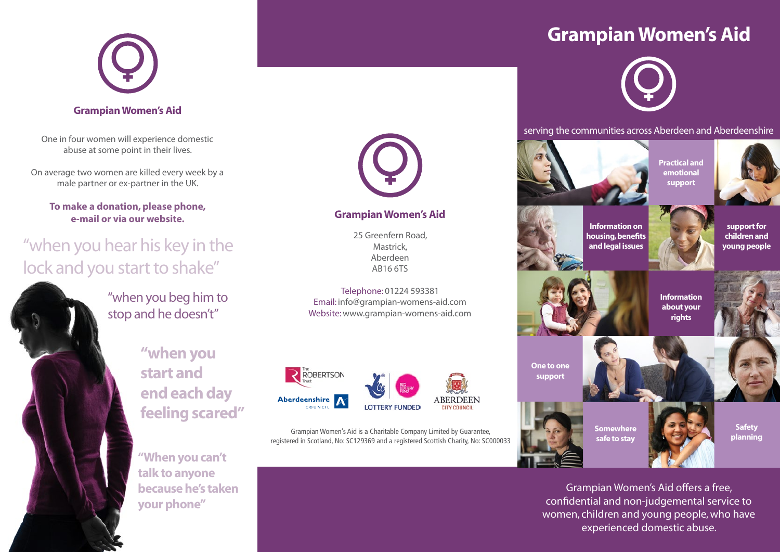

#### Grampian Women's Aid

One in four women will experience domestic abuse at some point in their lives.

On average two women are killed every week by a male partner or ex-partner in the UK.

#### **To make a donation, please phone, e-mail or via our website.**

# "when you hear his key in the lock and you start to shake"



"when you beg him to stop and he doesn't"

> **"when you start and end each day feeling scared"**

**"When you can't talk to anyone because he's taken your phone"**



#### Grampian Women's Aid

25 Greenfern Road, Mastrick, Aberdeen AB16 6TS

Telephone: 01224 593381 Email: info@grampian-womens-aid.com Website: www.grampian-womens-aid.com



Grampian Women's Aid is a Charitable Company Limited by Guarantee, registered in Scotland, No: SC129369 and a registered Scottish Charity, No: SC000033

# Grampian Women's Aid



serving the communities across Aberdeen and Aberdeenshire



Grampian Women's Aid offers a free, confidential and non-judgemental service to women, children and young people, who have experienced domestic abuse.